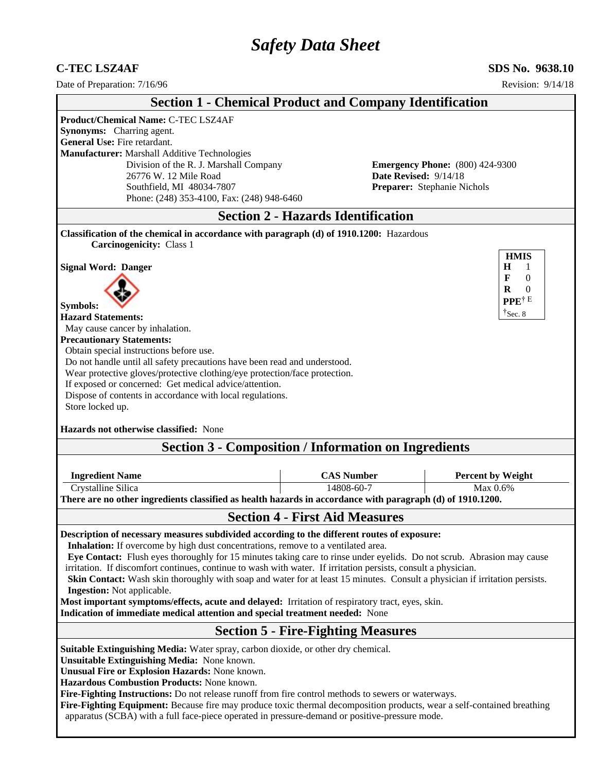# *Safety Data Sheet*

# **C-TEC LSZ4AF SDS No. 9638.10**<br> **SDS No. 9638.10**<br> **Date of Preparation:** 7/16/96

Date of Preparation: 7/16/96

| Date of Preparation: //10/90                                                                                                                                                                                                                                                                                                                                                                                                                                                                                                                                                                                                                                                                                                                                                         |                                                                | REVISIOR: 9/14/18                                                                                               |
|--------------------------------------------------------------------------------------------------------------------------------------------------------------------------------------------------------------------------------------------------------------------------------------------------------------------------------------------------------------------------------------------------------------------------------------------------------------------------------------------------------------------------------------------------------------------------------------------------------------------------------------------------------------------------------------------------------------------------------------------------------------------------------------|----------------------------------------------------------------|-----------------------------------------------------------------------------------------------------------------|
|                                                                                                                                                                                                                                                                                                                                                                                                                                                                                                                                                                                                                                                                                                                                                                                      | <b>Section 1 - Chemical Product and Company Identification</b> |                                                                                                                 |
| <b>Product/Chemical Name: C-TEC LSZ4AF</b><br>Synonyms: Charring agent.<br>General Use: Fire retardant.<br>Manufacturer: Marshall Additive Technologies<br>Division of the R. J. Marshall Company<br>26776 W. 12 Mile Road<br>Southfield, MI 48034-7807<br>Phone: (248) 353-4100, Fax: (248) 948-6460                                                                                                                                                                                                                                                                                                                                                                                                                                                                                | Date Revised: 9/14/18                                          | <b>Emergency Phone:</b> (800) 424-9300<br>Preparer: Stephanie Nichols                                           |
|                                                                                                                                                                                                                                                                                                                                                                                                                                                                                                                                                                                                                                                                                                                                                                                      | <b>Section 2 - Hazards Identification</b>                      |                                                                                                                 |
| Classification of the chemical in accordance with paragraph (d) of 1910.1200: Hazardous                                                                                                                                                                                                                                                                                                                                                                                                                                                                                                                                                                                                                                                                                              |                                                                |                                                                                                                 |
| <b>Carcinogenicity: Class 1</b><br><b>Signal Word: Danger</b><br><b>Symbols:</b><br><b>Hazard Statements:</b><br>May cause cancer by inhalation.<br><b>Precautionary Statements:</b><br>Obtain special instructions before use.<br>Do not handle until all safety precautions have been read and understood.<br>Wear protective gloves/protective clothing/eye protection/face protection.<br>If exposed or concerned: Get medical advice/attention.<br>Dispose of contents in accordance with local regulations.<br>Store locked up.<br>Hazards not otherwise classified: None                                                                                                                                                                                                      | <b>Section 3 - Composition / Information on Ingredients</b>    | <b>HMIS</b><br>H<br>1<br>$\mathbf{0}$<br>$\mathbf{F}$<br>R<br>$\Omega$<br>PPE <sup>†E</sup><br>$\dagger$ Sec. 8 |
|                                                                                                                                                                                                                                                                                                                                                                                                                                                                                                                                                                                                                                                                                                                                                                                      |                                                                |                                                                                                                 |
| <b>Ingredient Name</b>                                                                                                                                                                                                                                                                                                                                                                                                                                                                                                                                                                                                                                                                                                                                                               | <b>CAS Number</b>                                              | <b>Percent by Weight</b>                                                                                        |
| Crystalline Silica                                                                                                                                                                                                                                                                                                                                                                                                                                                                                                                                                                                                                                                                                                                                                                   | 14808-60-7                                                     | Max 0.6%                                                                                                        |
| There are no other ingredients classified as health hazards in accordance with paragraph (d) of 1910.1200.                                                                                                                                                                                                                                                                                                                                                                                                                                                                                                                                                                                                                                                                           |                                                                |                                                                                                                 |
|                                                                                                                                                                                                                                                                                                                                                                                                                                                                                                                                                                                                                                                                                                                                                                                      | <b>Section 4 - First Aid Measures</b>                          |                                                                                                                 |
| Description of necessary measures subdivided according to the different routes of exposure:<br>Inhalation: If overcome by high dust concentrations, remove to a ventilated area.<br>Eye Contact: Flush eyes thoroughly for 15 minutes taking care to rinse under eyelids. Do not scrub. Abrasion may cause<br>irritation. If discomfort continues, continue to wash with water. If irritation persists, consult a physician.<br>Skin Contact: Wash skin thoroughly with soap and water for at least 15 minutes. Consult a physician if irritation persists.<br><b>Ingestion:</b> Not applicable.<br>Most important symptoms/effects, acute and delayed: Irritation of respiratory tract, eyes, skin.<br>Indication of immediate medical attention and special treatment needed: None |                                                                |                                                                                                                 |
|                                                                                                                                                                                                                                                                                                                                                                                                                                                                                                                                                                                                                                                                                                                                                                                      | <b>Section 5 - Fire-Fighting Measures</b>                      |                                                                                                                 |
| Suitable Extinguishing Media: Water spray, carbon dioxide, or other dry chemical.<br>Unsuitable Extinguishing Media: None known.<br>Unusual Fire or Explosion Hazards: None known.<br>Hazardous Combustion Products: None known.<br>Fire-Fighting Instructions: Do not release runoff from fire control methods to sewers or waterways.<br>Fire-Fighting Equipment: Because fire may produce toxic thermal decomposition products, wear a self-contained breathing<br>apparatus (SCBA) with a full face-piece operated in pressure-demand or positive-pressure mode.                                                                                                                                                                                                                 |                                                                |                                                                                                                 |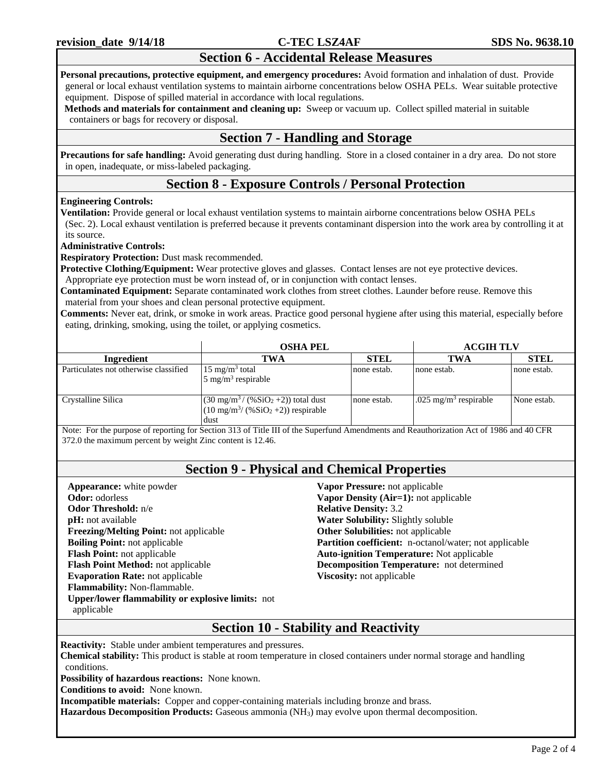# **Section 6 - Accidental Release Measures**

**Personal precautions, protective equipment, and emergency procedures:** Avoid formation and inhalation of dust. Provide general or local exhaust ventilation systems to maintain airborne concentrations below OSHA PELs. Wear suitable protective equipment. Dispose of spilled material in accordance with local regulations.

**Methods and materials for containment and cleaning up:** Sweep or vacuum up. Collect spilled material in suitable containers or bags for recovery or disposal.

# **Section 7 - Handling and Storage**

**Precautions for safe handling:** Avoid generating dust during handling. Store in a closed container in a dry area. Do not store in open, inadequate, or miss-labeled packaging.

# **Section 8 - Exposure Controls / Personal Protection**

#### **Engineering Controls:**

**Ventilation:** Provide general or local exhaust ventilation systems to maintain airborne concentrations below OSHA PELs (Sec. 2). Local exhaust ventilation is preferred because it prevents contaminant dispersion into the work area by controlling it at its source.

#### **Administrative Controls:**

**Respiratory Protection:** Dust mask recommended.

**Protective Clothing/Equipment:** Wear protective gloves and glasses. Contact lenses are not eye protective devices. Appropriate eye protection must be worn instead of, or in conjunction with contact lenses.

**Contaminated Equipment:** Separate contaminated work clothes from street clothes. Launder before reuse. Remove this

material from your shoes and clean personal protective equipment.

**Comments:** Never eat, drink, or smoke in work areas. Practice good personal hygiene after using this material, especially before eating, drinking, smoking, using the toilet, or applying cosmetics.

|                                       | <b>OSHA PEL</b>                                                                                                            |             | <b>ACGIH TLV</b>                  |             |
|---------------------------------------|----------------------------------------------------------------------------------------------------------------------------|-------------|-----------------------------------|-------------|
| Ingredient                            | TWA                                                                                                                        | <b>STEL</b> | TWA                               | <b>STEL</b> |
| Particulates not otherwise classified | 15 mg/m <sup>3</sup> total<br>$5 \text{ mg/m}^3$ respirable                                                                | none estab. | none estab.                       | none estab. |
| Crystalline Silica                    | $(30 \text{ mg/m}^3 / (80 \text{SiO}_2 + 2))$ total dust<br>$(10 \text{ mg/m}^3/(96 \text{SiO}_2 + 2))$ respirable<br>dust | none estab. | .025 mg/m <sup>3</sup> respirable | None estab. |

Note: For the purpose of reporting for Section 313 of Title III of the Superfund Amendments and Reauthorization Act of 1986 and 40 CFR 372.0 the maximum percent by weight Zinc content is 12.46.

## **Section 9 - Physical and Chemical Properties**

**Appearance:** white powder **Odor:** odorless **Odor Threshold:** n/e **pH:** not available **Freezing/Melting Point:** not applicable **Boiling Point:** not applicable **Flash Point:** not applicable **Flash Point Method:** not applicable **Evaporation Rate:** not applicable **Flammability:** Non-flammable. **Upper/lower flammability or explosive limits:** not applicable

**Vapor Pressure:** not applicable **Vapor Density (Air=1):** not applicable **Relative Density:** 3.2 **Water Solubility:** Slightly soluble **Other Solubilities:** not applicable **Partition coefficient:** n-octanol/water; not applicable **Auto-ignition Temperature:** Not applicable **Decomposition Temperature:** not determined **Viscosity:** not applicable

# **Section 10 - Stability and Reactivity**

**Reactivity:** Stable under ambient temperatures and pressures.

**Chemical stability:** This product is stable at room temperature in closed containers under normal storage and handling conditions.

**Possibility of hazardous reactions:** None known.

**Conditions to avoid:** None known.

**Incompatible materials:** Copper and copper-containing materials including bronze and brass.

**Hazardous Decomposition Products:** Gaseous ammonia (NH3) may evolve upon thermal decomposition.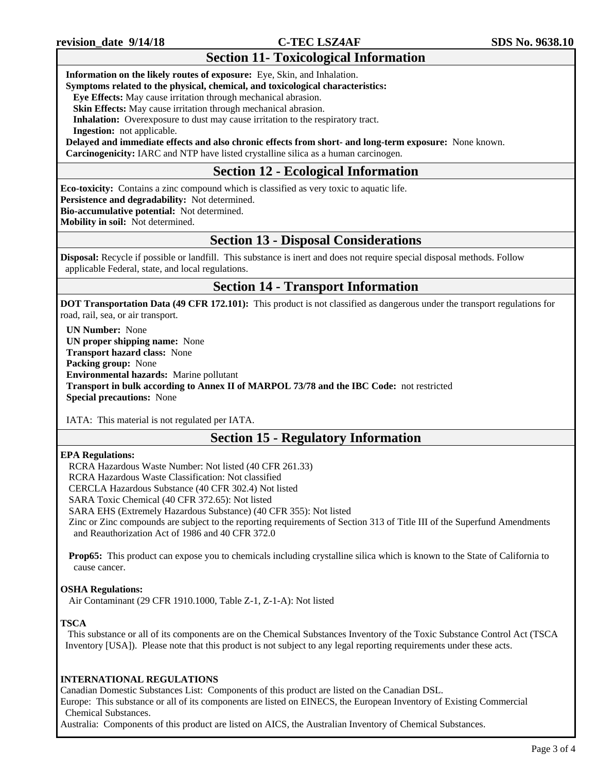# **Section 11- Toxicological Information**

#### **Information on the likely routes of exposure:** Eye, Skin, and Inhalation.

**Symptoms related to the physical, chemical, and toxicological characteristics:**

 **Eye Effects:** May cause irritation through mechanical abrasion.

**Skin Effects:** May cause irritation through mechanical abrasion.

**Inhalation:** Overexposure to dust may cause irritation to the respiratory tract.

 **Ingestion:** not applicable.

**Delayed and immediate effects and also chronic effects from short- and long-term exposure:** None known. **Carcinogenicity:** IARC and NTP have listed crystalline silica as a human carcinogen.

# **Section 12 - Ecological Information**

**Eco-toxicity:** Contains a zinc compound which is classified as very toxic to aquatic life.

**Persistence and degradability:** Not determined.

**Bio-accumulative potential:** Not determined.

**Mobility in soil:** Not determined.

## **Section 13 - Disposal Considerations**

**Disposal:** Recycle if possible or landfill. This substance is inert and does not require special disposal methods. Follow applicable Federal, state, and local regulations.

## **Section 14 - Transport Information**

**DOT Transportation Data (49 CFR 172.101):** This product is not classified as dangerous under the transport regulations for road, rail, sea, or air transport.

**UN Number:** None **UN proper shipping name:** None **Transport hazard class:** None **Packing group:** None **Environmental hazards:** Marine pollutant **Transport in bulk according to Annex II of MARPOL 73/78 and the IBC Code:** not restricted **Special precautions:** None

IATA: This material is not regulated per IATA.

# **Section 15 - Regulatory Information**

#### **EPA Regulations:**

RCRA Hazardous Waste Number: Not listed (40 CFR 261.33)

RCRA Hazardous Waste Classification: Not classified

CERCLA Hazardous Substance (40 CFR 302.4) Not listed

SARA Toxic Chemical (40 CFR 372.65): Not listed

SARA EHS (Extremely Hazardous Substance) (40 CFR 355): Not listed

Zinc or Zinc compounds are subject to the reporting requirements of Section 313 of Title III of the Superfund Amendments and Reauthorization Act of 1986 and 40 CFR 372.0

**Prop65:** This product can expose you to chemicals including crystalline silica which is known to the State of California to cause cancer.

#### **OSHA Regulations:**

Air Contaminant (29 CFR 1910.1000, Table Z-1, Z-1-A): Not listed

#### **TSCA**

This substance or all of its components are on the Chemical Substances Inventory of the Toxic Substance Control Act (TSCA Inventory [USA]). Please note that this product is not subject to any legal reporting requirements under these acts.

#### **INTERNATIONAL REGULATIONS**

Canadian Domestic Substances List: Components of this product are listed on the Canadian DSL. Europe: This substance or all of its components are listed on EINECS, the European Inventory of Existing Commercial Chemical Substances.

Australia: Components of this product are listed on AICS, the Australian Inventory of Chemical Substances.